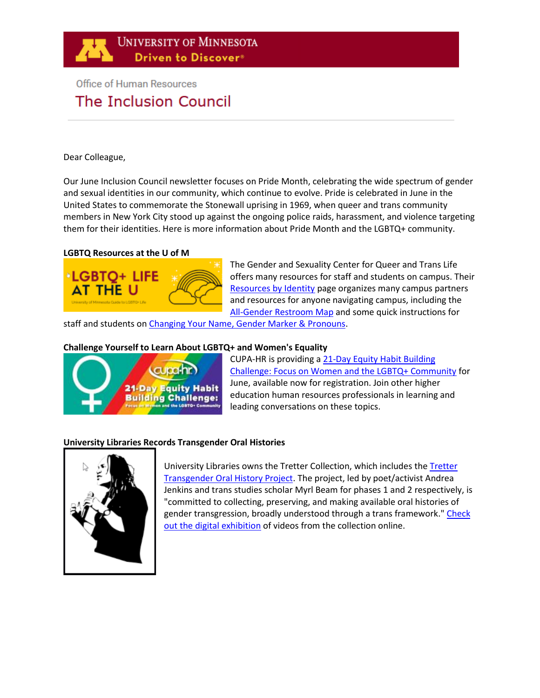

# **Office of Human Resources** The Inclusion Council

#### Dear Colleague,

Our June Inclusion Council newsletter focuses on Pride Month, celebrating the wide spectrum of gender and sexual identities in our community, which continue to evolve. Pride is celebrated in June in the United States to commemorate the Stonewall uprising in 1969, when queer and trans community members in New York City stood up against the ongoing police raids, harassment, and violence targeting them for their identities. Here is more information about Pride Month and the LGBTQ+ community.

#### **LGBTQ Resources at the U of M**



The Gender and Sexuality Center for Queer and Trans Life offers many resources for staff and students on campus. Their [Resources by Identity](https://gsc.umn.edu/navigating-u/resources-identity) page organizes many campus partners and resources for anyone navigating campus, including the [All-Gender Restroom Map](https://gsc.umn.edu/resources/all-gender-restroom-map) and some quick instructions for

staff and students on [Changing Your Name, Gender Marker & Pronouns.](https://gsc.umn.edu/transgender-identities/changing-your-name-gender-marker-pronouns)

#### **Challenge Yourself to Learn About LGBTQ+ and Women's Equality**



CUPA-HR is providing a [21-Day Equity Habit Building](https://www.cupahr.org/events/21-day-challenges/21-day-challenge-women-lgbtq/)  [Challenge: Focus on Women and the LGBTQ+ Community](https://www.cupahr.org/events/21-day-challenges/21-day-challenge-women-lgbtq/) for June, available now for registration. Join other higher education human resources professionals in learning and leading conversations on these topics.

## **University Libraries Records Transgender Oral Histories**



University Libraries owns the Tretter Collection, which includes th[e Tretter](https://www.lib.umn.edu/tretter/transgender-oral-history-project)  [Transgender Oral History Project.](https://www.lib.umn.edu/tretter/transgender-oral-history-project) The project, led by poet/activist Andrea Jenkins and trans studies scholar Myrl Beam for phases 1 and 2 respectively, is "committed to collecting, preserving, and making available oral histories of gender transgression, broadly understood through a trans framework." Check [out the digital exhibition](http://trettertransoralhistory.umn.edu/) of videos from the collection online.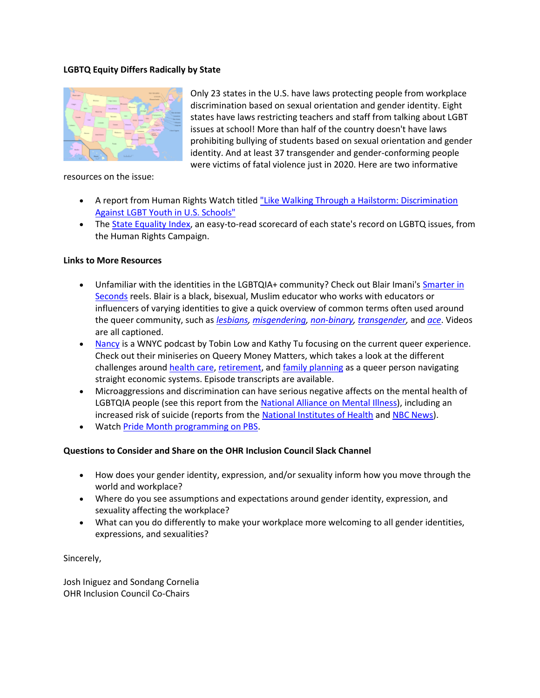## **LGBTQ Equity Differs Radically by State**



Only 23 states in the U.S. have laws protecting people from workplace discrimination based on sexual orientation and gender identity. Eight states have laws restricting teachers and staff from talking about LGBT issues at school! More than half of the country doesn't have laws prohibiting bullying of students based on sexual orientation and gender identity. And at least 37 transgender and gender-conforming people were victims of fatal violence just in 2020. Here are two informative

resources on the issue:

- A report from Human Rights Watch title[d "Like Walking Through a Hailstorm: Discrimination](https://www.hrw.org/report/2016/12/08/walking-through-hailstorm/discrimination-against-lgbt-youth-us-schools)  [Against LGBT Youth in U.S. Schools"](https://www.hrw.org/report/2016/12/08/walking-through-hailstorm/discrimination-against-lgbt-youth-us-schools)
- The [State Equality Index,](https://www.hrc.org/resources/state-scorecards) an easy-to-read scorecard of each state's record on LGBTQ issues, from the Human Rights Campaign.

#### **Links to More Resources**

- Unfamiliar with the identities in the LGBTQIA+ community? Check out Blair Imani's Smarter in [Seconds](https://www.instagram.com/blairimani/reels/?hl=en) reels. Blair is a black, bisexual, Muslim educator who works with educators or influencers of varying identities to give a quick overview of common terms often used around the queer community, such as *[lesbians,](https://www.instagram.com/reel/COJnF8-HqeU/) [misgendering,](https://www.instagram.com/reel/CNFjTfLHwX3/) [non-binary,](https://www.instagram.com/reel/CNEOVqBH6fA/) [transgender,](https://www.instagram.com/reel/CM6Gy4In9G-/)* and *[ace](https://www.instagram.com/reel/CG-_Fwhn8TB/)*. Videos are all captioned.
- [Nancy](https://www.wnycstudios.org/podcasts/nancy) is a WNYC podcast by Tobin Low and Kathy Tu focusing on the current queer experience. Check out their miniseries on Queery Money Matters, which takes a look at the different challenges around [health care,](https://www.wnycstudios.org/podcasts/nancy/episodes/nancy-podcast-dude-wheres-my-coverage) [retirement,](https://www.wnycstudios.org/podcasts/nancy/episodes/nancy-podcast-golden-queers) an[d family planning](https://www.wnycstudios.org/podcasts/nancy/episodes/nancy-podcast-babies-bills) as a queer person navigating straight economic systems. Episode transcripts are available.
- Microaggressions and discrimination can have serious negative affects on the mental health of LGBTQIA people (see this report from th[e National Alliance on Mental Illness\)](https://www.nami.org/Your-Journey/Identity-and-Cultural-Dimensions/LGBTQI), including an increased risk of suicide (reports from the [National Institutes of Health](https://www.ncbi.nlm.nih.gov/pmc/articles/PMC3093285/) and [NBC News\)](https://www.nbcnews.com/feature/nbc-out/40-percent-lgbtq-youth-seriously-considered-suicide-past-year-survey-n1233832).
- Watc[h Pride Month programming on PBS.](http://www.pbs.org/specials/lgbt-pride-month/)

## **Questions to Consider and Share on the [OHR Inclusion Council Slack Channel](https://app.slack.com/client/T016T4MRDPH/C0176FHCHBP)**

- How does your gender identity, expression, and/or sexuality inform how you move through the world and workplace?
- Where do you see assumptions and expectations around gender identity, expression, and sexuality affecting the workplace?
- What can you do differently to make your workplace more welcoming to all gender identities, expressions, and sexualities?

Sincerely,

Josh Iniguez and Sondang Cornelia OHR Inclusion Council Co-Chairs